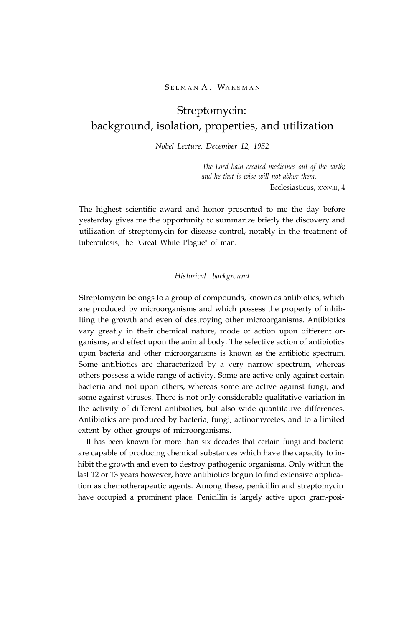#### SELMAN A. WAKSMAN

# Streptomycin: background, isolation, properties, and utilization

*Nobel Lecture, December 12, 1952*

*The Lord hath created medicines out of the earth; and he that is wise will not abhor them.*

Ecclesiasticus, XXXVIII, 4

The highest scientific award and honor presented to me the day before yesterday gives me the opportunity to summarize briefly the discovery and utilization of streptomycin for disease control, notably in the treatment of tuberculosis, the "Great White Plague" of man.

# *Historical background*

Streptomycin belongs to a group of compounds, known as antibiotics, which are produced by microorganisms and which possess the property of inhibiting the growth and even of destroying other microorganisms. Antibiotics vary greatly in their chemical nature, mode of action upon different organisms, and effect upon the animal body. The selective action of antibiotics upon bacteria and other microorganisms is known as the antibiotic spectrum. Some antibiotics are characterized by a very narrow spectrum, whereas others possess a wide range of activity. Some are active only against certain bacteria and not upon others, whereas some are active against fungi, and some against viruses. There is not only considerable qualitative variation in the activity of different antibiotics, but also wide quantitative differences. Antibiotics are produced by bacteria, fungi, actinomycetes, and to a limited extent by other groups of microorganisms.

It has been known for more than six decades that certain fungi and bacteria are capable of producing chemical substances which have the capacity to inhibit the growth and even to destroy pathogenic organisms. Only within the last 12 or 13 years however, have antibiotics begun to find extensive application as chemotherapeutic agents. Among these, penicillin and streptomycin have occupied a prominent place. Penicillin is largely active upon gram-posi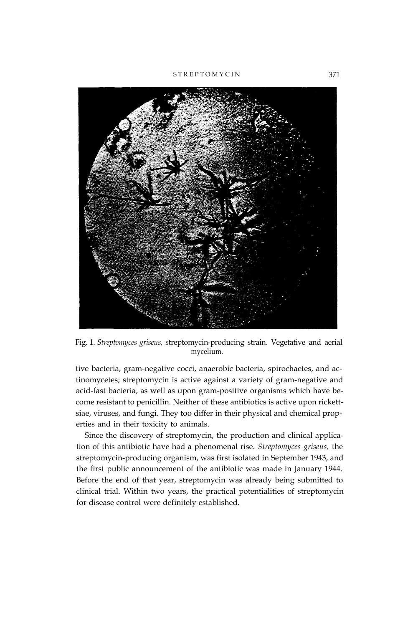STREPTOMYCIN<sup>371</sup>



Fig. 1. *Streptomyces griseus,* streptomycin-producing strain. Vegetative and aerial mycelium.

tive bacteria, gram-negative cocci, anaerobic bacteria, spirochaetes, and actinomycetes; streptomycin is active against a variety of gram-negative and acid-fast bacteria, as well as upon gram-positive organisms which have become resistant to penicillin. Neither of these antibiotics is active upon rickettsiae, viruses, and fungi. They too differ in their physical and chemical properties and in their toxicity to animals.

Since the discovery of streptomycin, the production and clinical application of this antibiotic have had a phenomenal rise. *Streptomyces griseus,* the streptomycin-producing organism, was first isolated in September 1943, and the first public announcement of the antibiotic was made in January 1944. Before the end of that year, streptomycin was already being submitted to clinical trial. Within two years, the practical potentialities of streptomycin for disease control were definitely established.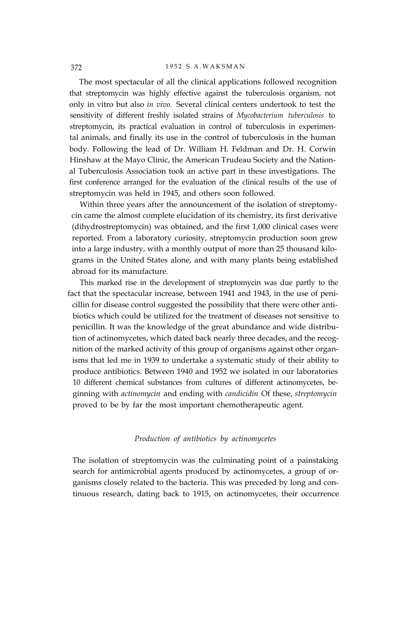#### 372 1952 S.A.WAKSMAN

The most spectacular of all the clinical applications followed recognition that streptomycin was highly effective against the tuberculosis organism, not only in vitro but also *in vivo.* Several clinical centers undertook to test the sensitivity of different freshly isolated strains of *Mycobacterium tuberculosis* to streptomycin, its practical evaluation in control of tuberculosis in experimental animals, and finally its use in the control of tuberculosis in the human body. Following the lead of Dr. William H. Feldman and Dr. H. Corwin Hinshaw at the Mayo Clinic, the American Trudeau Society and the National Tuberculosis Association took an active part in these investigations. The first conference arranged for the evaluation of the clinical results of the use of streptomycin was held in 1945, and others soon followed.

Within three years after the announcement of the isolation of streptomycin came the almost complete elucidation of its chemistry, its first derivative (dihydrostreptomycin) was obtained, and the first 1,000 clinical cases were reported. From a laboratory curiosity, streptomycin production soon grew into a large industry, with a monthly output of more than 25 thousand kilograms in the United States alone, and with many plants being established abroad for its manufacture.

This marked rise in the development of streptomycin was due partly to the fact that the spectacular increase, between 1941 and 1943, in the use of penicillin for disease control suggested the possibility that there were other antibiotics which could be utilized for the treatment of diseases not sensitive to penicillin. It was the knowledge of the great abundance and wide distribution of actinomycetes, which dated back nearly three decades, and the recognition of the marked activity of this group of organisms against other organisms that led me in 1939 to undertake a systematic study of their ability to produce antibiotics. Between 1940 and 1952 we isolated in our laboratories 10 different chemical substances from cultures of different actinomycetes, beginning with *actinomycin* and ending with *candicidin* Of these, *streptomycin* proved to be by far the most important chemotherapeutic agent.

# *Production of antibiotics by actinomycetes*

The isolation of streptomycin was the culminating point of a painstaking search for antimicrobial agents produced by actinomycetes, a group of organisms closely related to the bacteria. This was preceded by long and continuous research, dating back to 1915, on actinomycetes, their occurrence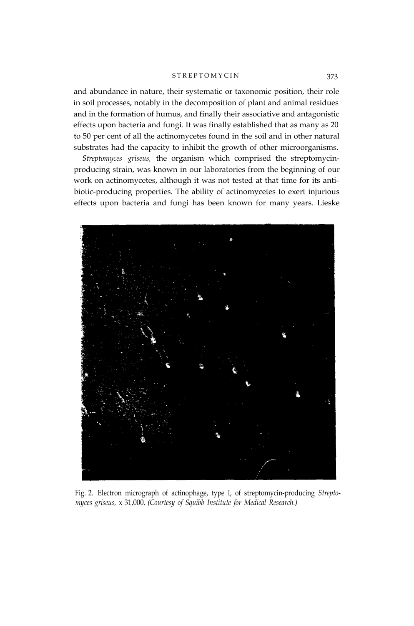#### STREPTOMYCIN<sup>373</sup>

and abundance in nature, their systematic or taxonomic position, their role in soil processes, notably in the decomposition of plant and animal residues and in the formation of humus, and finally their associative and antagonistic effects upon bacteria and fungi. It was finally established that as many as 20 to 50 per cent of all the actinomycetes found in the soil and in other natural substrates had the capacity to inhibit the growth of other microorganisms.

*Streptomyces griseus,* the organism which comprised the streptomycinproducing strain, was known in our laboratories from the beginning of our work on actinomycetes, although it was not tested at that time for its antibiotic-producing properties. The ability of actinomycetes to exert injurious effects upon bacteria and fungi has been known for many years. Lieske



Fig. 2. Electron micrograph of actinophage, type I, of streptomycin-producing *Streptomyces griseus,* x 31,000. *(Courtesy of Squibb Institute for Medical Research.)*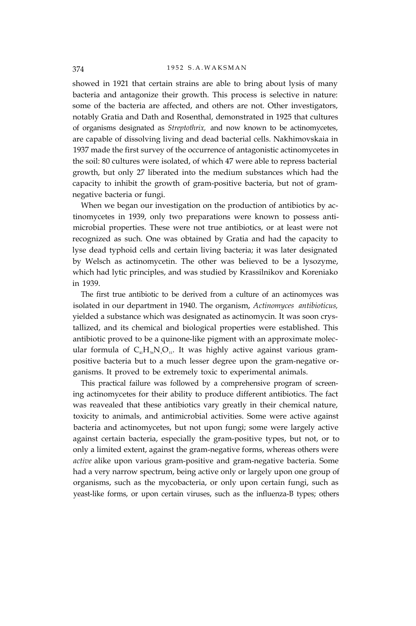showed in 1921 that certain strains are able to bring about lysis of many bacteria and antagonize their growth. This process is selective in nature: some of the bacteria are affected, and others are not. Other investigators, notably Gratia and Dath and Rosenthal, demonstrated in 1925 that cultures of organisms designated as *Streptothrix,* and now known to be actinomycetes, are capable of dissolving living and dead bacterial cells. Nakhimovskaia in 1937 made the first survey of the occurrence of antagonistic actinomycetes in the soil: 80 cultures were isolated, of which 47 were able to repress bacterial growth, but only 27 liberated into the medium substances which had the capacity to inhibit the growth of gram-positive bacteria, but not of gramnegative bacteria or fungi.

When we began our investigation on the production of antibiotics by actinomycetes in 1939, only two preparations were known to possess antimicrobial properties. These were not true antibiotics, or at least were not recognized as such. One was obtained by Gratia and had the capacity to lyse dead typhoid cells and certain living bacteria; it was later designated by Welsch as actinomycetin. The other was believed to be a lysozyme, which had lytic principles, and was studied by Krassilnikov and Koreniako in 1939.

The first true antibiotic to be derived from a culture of an actinomyces was isolated in our department in 1940. The organism, *Actinomyces antibioticus,* yielded a substance which was designated as actinomycin. It was soon crystallized, and its chemical and biological properties were established. This antibiotic proved to be a quinone-like pigment with an approximate molecular formula of  $C_{41}H_{56}N_sO_{11}$ . It was highly active against various grampositive bacteria but to a much lesser degree upon the gram-negative organisms. It proved to be extremely toxic to experimental animals.

This practical failure was followed by a comprehensive program of screening actinomycetes for their ability to produce different antibiotics. The fact was reavealed that these antibiotics vary greatly in their chemical nature, toxicity to animals, and antimicrobial activities. Some were active against bacteria and actinomycetes, but not upon fungi; some were largely active against certain bacteria, especially the gram-positive types, but not, or to only a limited extent, against the gram-negative forms, whereas others were *active* alike upon various gram-positive and gram-negative bacteria. Some had a very narrow spectrum, being active only or largely upon one group of organisms, such as the mycobacteria, or only upon certain fungi, such as yeast-like forms, or upon certain viruses, such as the influenza-B types; others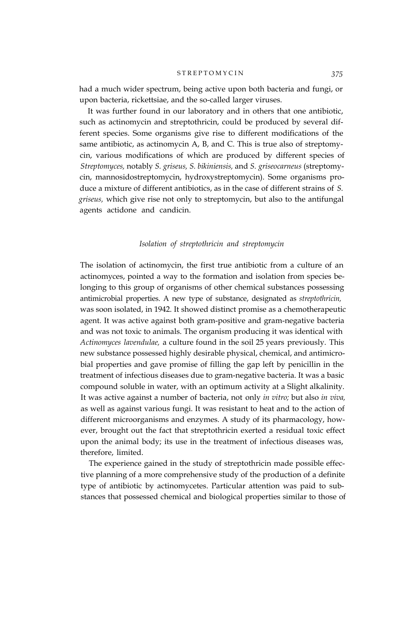#### S T R E P T O M Y C I N *375*

had a much wider spectrum, being active upon both bacteria and fungi, or upon bacteria, rickettsiae, and the so-called larger viruses.

It was further found in our laboratory and in others that one antibiotic, such as actinomycin and streptothricin, could be produced by several different species. Some organisms give rise to different modifications of the same antibiotic, as actinomycin A, B, and C. This is true also of streptomycin, various modifications of which are produced by different species of *Streptomyces,* notably *S. griseus, S. bikiniensis,* and *S. griseocarneus* (streptomycin, mannosidostreptomycin, hydroxystreptomycin). Some organisms produce a mixture of different antibiotics, as in the case of different strains of *S. griseus,* which give rise not only to streptomycin, but also to the antifungal agents actidone and candicin.

# *Isolation of streptothricin and streptomycin*

The isolation of actinomycin, the first true antibiotic from a culture of an actinomyces, pointed a way to the formation and isolation from species belonging to this group of organisms of other chemical substances possessing antimicrobial properties. A new type of substance, designated as *streptothricin,* was soon isolated, in 1942. It showed distinct promise as a chemotherapeutic agent. It was active against both gram-positive and gram-negative bacteria and was not toxic to animals. The organism producing it was identical with *Actinomyces lavendulae,* a culture found in the soil 25 years previously. This new substance possessed highly desirable physical, chemical, and antimicrobial properties and gave promise of filling the gap left by penicillin in the treatment of infectious diseases due to gram-negative bacteria. It was a basic compound soluble in water, with an optimum activity at a Slight alkalinity. It was active against a number of bacteria, not only *in vitro;* but also *in viva,* as well as against various fungi. It was resistant to heat and to the action of different microorganisms and enzymes. A study of its pharmacology, however, brought out the fact that streptothricin exerted a residual toxic effect upon the animal body; its use in the treatment of infectious diseases was, therefore, limited.

The experience gained in the study of streptothricin made possible effective planning of a more comprehensive study of the production of a definite type of antibiotic by actinomycetes. Particular attention was paid to substances that possessed chemical and biological properties similar to those of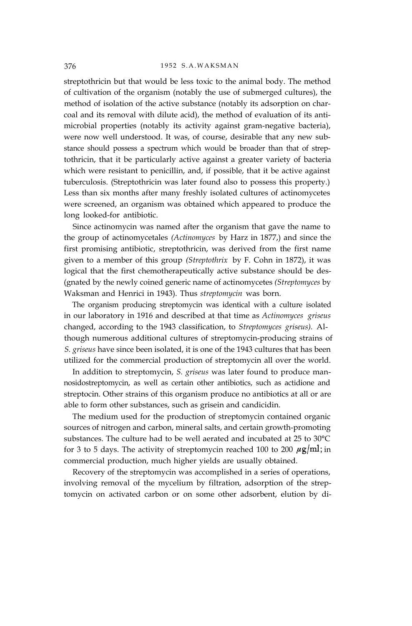streptothricin but that would be less toxic to the animal body. The method of cultivation of the organism (notably the use of submerged cultures), the method of isolation of the active substance (notably its adsorption on charcoal and its removal with dilute acid), the method of evaluation of its antimicrobial properties (notably its activity against gram-negative bacteria), were now well understood. It was, of course, desirable that any new substance should possess a spectrum which would be broader than that of streptothricin, that it be particularly active against a greater variety of bacteria which were resistant to penicillin, and, if possible, that it be active against tuberculosis. (Streptothricin was later found also to possess this property.) Less than six months after many freshly isolated cultures of actinomycetes were screened, an organism was obtained which appeared to produce the long looked-for antibiotic.

Since actinomycin was named after the organism that gave the name to the group of actinomycetales *(Actinomyces* by Harz in 1877,) and since the first promising antibiotic, streptothricin, was derived from the first name given to a member of this group *(Streptothrix* by F. Cohn in 1872), it was logical that the first chemotherapeutically active substance should be des- (gnated by the newly coined generic name of actinomycetes *(Streptomyces* by Waksman and Henrici in 1943). Thus *streptomycin* was born.

The organism producing streptomycin was identical with a culture isolated in our laboratory in 1916 and described at that time as *Actinomyces griseus* changed, according to the 1943 classification, to *Streptomyces griseus).* Although numerous additional cultures of streptomycin-producing strains of *S. griseus* have since been isolated, it is one of the 1943 cultures that has been utilized for the commercial production of streptomycin all over the world.

In addition to streptomycin, *S. griseus* was later found to produce mannosidostreptomycin, as well as certain other antibiotics, such as actidione and streptocin. Other strains of this organism produce no antibiotics at all or are able to form other substances, such as grisein and candicidin.

The medium used for the production of streptomycin contained organic sources of nitrogen and carbon, mineral salts, and certain growth-promoting substances. The culture had to be well aerated and incubated at 25 to 30°C for 3 to 5 days. The activity of streptomycin reached 100 to 200  $\mu$ g/ml; in commercial production, much higher yields are usually obtained.

Recovery of the streptomycin was accomplished in a series of operations, involving removal of the mycelium by filtration, adsorption of the streptomycin on activated carbon or on some other adsorbent, elution by di-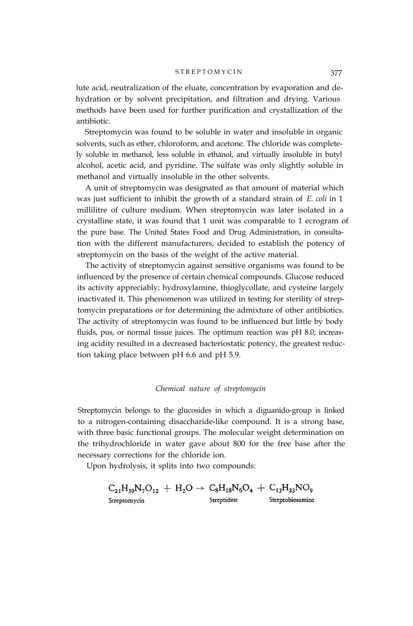#### STREPTOMYCIN<sup>377</sup>

lute acid, neutralization of the eluate, concentration by evaporation and dehydration or by solvent precipitation, and filtration and drying. Various methods have been used for further purification and crystallization of the antibiotic.

Streptomycin was found to be soluble in water and insoluble in organic solvents, such as ether, chloroform, and acetone. The chloride was completely soluble in methanol, less soluble in ethanol, and virtually insoluble in butyl alcohol, acetic acid, and pyridine. The sulfate was only slightly soluble in methanol and virtually insoluble in the other solvents.

A unit of streptomycin was designated as that amount of material which was just sufficient to inhibit the growth of a standard strain of *E. coli* in 1 millilitre of culture medium. When streptomycin was later isolated in a crystalline state, it was found that 1 unit was comparable to 1 ecrogram of the pure base. The United States Food and Drug Administration, in consultation with the different manufacturers, decided to establish the potency of streptomycin on the basis of the weight of the active material.

The activity of streptomycin against sensitive organisms was found to be influenced by the presence of certain chemical compounds. Glucose reduced its activity appreciably; hydroxylamine, thioglycollate, and cysteine largely inactivated it. This phenomenon was utilized in testing for sterility of streptomycin preparations or for determining the admixture of other antibiotics. The activity of streptomycin was found to be influenced but little by body fluids, pus, or normal tissue juices. The optimum reaction was pH 8.0; increasing acidity resulted in a decreased bacteriostatic potency, the greatest reduction taking place between pH 6.6 and pH 5.9.

# *Chemical nature of streptomycin*

Streptomycin belongs to the glucosides in which a diguanido-group is linked to a nitrogen-containing disaccharide-like compound. It is a strong base, with three basic functional groups. The molecular weight determination on the trihydrochloride in water gave about 800 for the free base after the necessary corrections for the chloride ion.

Upon hydrolysis, it splits into two compounds:

$$
C_{21}H_{39}N_7O_{12} + H_2O \rightarrow C_8H_{18}N_6O_4 + C_{13}H_{23}NO_9
$$
  
Streptomycin  
Streptoinca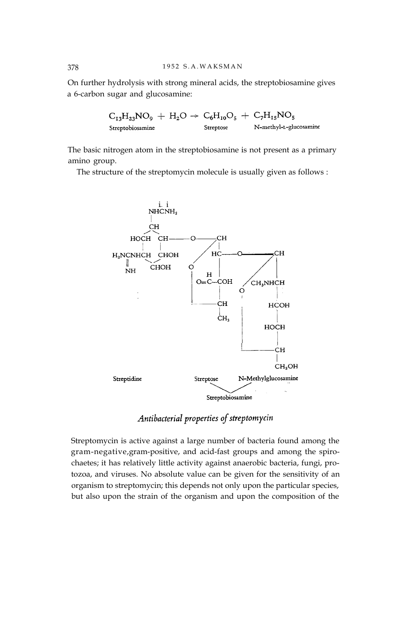On further hydrolysis with strong mineral acids, the streptobiosamine gives a 6-carbon sugar and glucosamine:

$$
\begin{array}{l} C_{13}H_{23}NO_{9} \ + \ H_{2}O \ \rightarrow \ C_{6}H_{10}O_{5} \ + \ C_{7}H_{15}NO_{5} \\ \textit{Streptobiosamine} \qquad \qquad \textit{Streptosse} \qquad \qquad \textit{N-methyl-L-glucosamine} \end{array}
$$

The basic nitrogen atom in the streptobiosamine is not present as a primary amino group.

The structure of the streptomycin molecule is usually given as follows :



Antibacterial properties of streptomycin

Streptomycin is active against a large number of bacteria found among the gram-negative, gram-positive, and acid-fast groups and among the spirochaetes; it has relatively little activity against anaerobic bacteria, fungi, protozoa, and viruses. No absolute value can be given for the sensitivity of an organism to streptomycin; this depends not only upon the particular species, but also upon the strain of the organism and upon the composition of the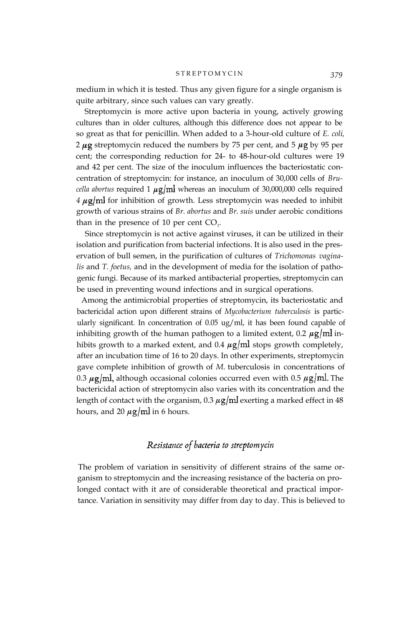medium in which it is tested. Thus any given figure for a single organism is quite arbitrary, since such values can vary greatly.

Streptomycin is more active upon bacteria in young, actively growing cultures than in older cultures, although this difference does not appear to be so great as that for penicillin. When added to a 3-hour-old culture of *E. coli,* 2  $\mu$ g streptomycin reduced the numbers by 75 per cent, and 5  $\mu$ g by 95 per cent; the corresponding reduction for 24- to 48-hour-old cultures were 19 and 42 per cent. The size of the inoculum influences the bacteriostatic concentration of streptomycin: for instance, an inoculum of 30,000 cells of *Brucella abortus* required 1  $\mu$ g/ml whereas an inoculum of 30,000,000 cells required  $4 \mu g$ m for inhibition of growth. Less streptomycin was needed to inhibit growth of various strains of *Br. abortus* and *Br. suis* under aerobic conditions than in the presence of  $10$  per cent  $CO<sub>2</sub>$ .

Since streptomycin is not active against viruses, it can be utilized in their isolation and purification from bacterial infections. It is also used in the preservation of bull semen, in the purification of cultures of *Trichomonas vaginalis* and *T. foetus,* and in the development of media for the isolation of pathogenic fungi. Because of its marked antibacterial properties, streptomycin can be used in preventing wound infections and in surgical operations.

Among the antimicrobial properties of streptomycin, its bacteriostatic and bactericidal action upon different strains of *Mycobacterium tuberculosis* is particularly significant. In concentration of 0.05 ug/ml, it has been found capable of inhibiting growth of the human pathogen to a limited extent, 0.2  $\mu$ g/ml inhibits growth to a marked extent, and 0.4  $\mu$ g/ml stops growth completely, after an incubation time of 16 to 20 days. In other experiments, streptomycin gave complete inhibition of growth of *M.* tuberculosis in concentrations of 0.3  $\mu$ g/ml, although occasional colonies occurred even with 0.5  $\mu$ g/ml. The bactericidal action of streptomycin also varies with its concentration and the length of contact with the organism,  $0.3 \mu g/ml$  exerting a marked effect in 48 hours, and 20  $\mu$ g/ml in 6 hours.

# Resistance of bacteria to streptomycin

The problem of variation in sensitivity of different strains of the same organism to streptomycin and the increasing resistance of the bacteria on prolonged contact with it are of considerable theoretical and practical importance. Variation in sensitivity may differ from day to day. This is believed to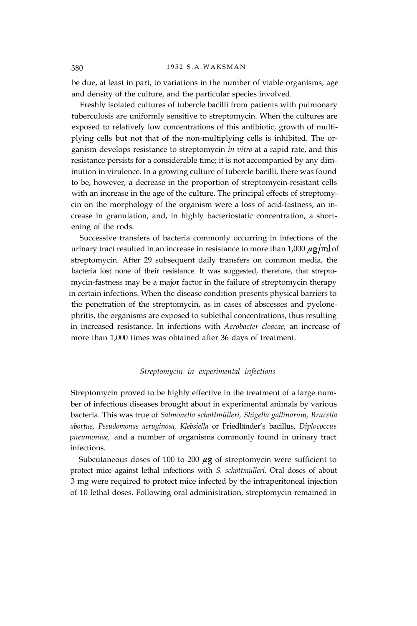#### 380 1952 S.A.WAKSMAN

be due, at least in part, to variations in the number of viable organisms, age and density of the culture, and the particular species involved.

Freshly isolated cultures of tubercle bacilli from patients with pulmonary tuberculosis are uniformly sensitive to streptomycin. When the cultures are exposed to relatively low concentrations of this antibiotic, growth of multiplying cells but not that of the non-multiplying cells is inhibited. The organism develops resistance to streptomycin *in vitro* at a rapid rate, and this resistance persists for a considerable time; it is not accompanied by any diminution in virulence. In a growing culture of tubercle bacilli, there was found to be, however, a decrease in the proportion of streptomycin-resistant cells with an increase in the age of the culture. The principal effects of streptomycin on the morphology of the organism were a loss of acid-fastness, an increase in granulation, and, in highly bacteriostatic concentration, a shortening of the rods.

Successive transfers of bacteria commonly occurring in infections of the urinary tract resulted in an increase in resistance to more than  $1,000 \mu g/ml$  of streptomycin. After 29 subsequent daily transfers on common media, the bacteria lost none of their resistance. It was suggested, therefore, that streptomycin-fastness may be a major factor in the failure of streptomycin therapy in certain infections. When the disease condition presents physical barriers to the penetration of the streptomycin, as in cases of abscesses and pyelonephritis, the organisms are exposed to sublethal concentrations, thus resulting in increased resistance. In infections with *Aerobacter cloacae,* an increase of more than 1,000 times was obtained after 36 days of treatment.

# *Streptomycin in experimental infections*

Streptomycin proved to be highly effective in the treatment of a large number of infectious diseases brought about in experimental animals by various bacteria. This was true of *Salmonella schottmülleri, Shigella gallinarum, Brucella abortus, Pseudomonas aeruginosa, Klebsiella* or Friedländer's bacillus, *Diplococcus pneumoniae,* and a number of organisms commonly found in urinary tract infections.

Subcutaneous doses of 100 to 200  $\mu$ g of streptomycin were sufficient to protect mice against lethal infections with *S. schottmülleri.* Oral doses of about 3 mg were required to protect mice infected by the intraperitoneal injection of 10 lethal doses. Following oral administration, streptomycin remained in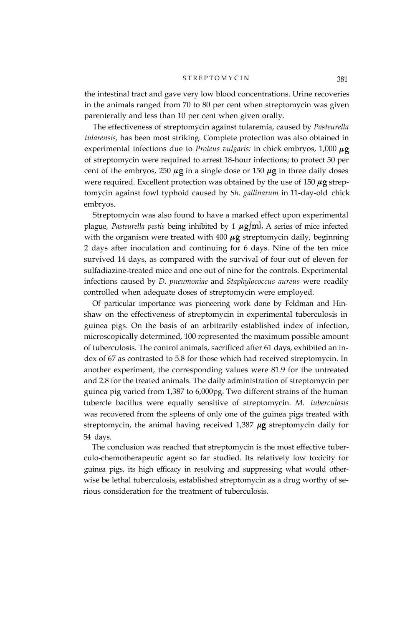#### STREPTOMYCIN<sup>381</sup>

the intestinal tract and gave very low blood concentrations. Urine recoveries in the animals ranged from 70 to 80 per cent when streptomycin was given parenterally and less than 10 per cent when given orally.

The effectiveness of streptomycin against tularemia, caused by *Pasteurella tularensis,* has been most striking. Complete protection was also obtained in experimental infections due to *Proteus vulgaris:* in chick embryos, 1,000 of streptomycin were required to arrest 18-hour infections; to protect 50 per cent of the embryos, 250  $\mu$ g in a single dose or 150  $\mu$ g in three daily doses were required. Excellent protection was obtained by the use of 150  $\mu$ g streptomycin against fowl typhoid caused by *Sh. gallinarum* in 11-day-old chick embryos.

Streptomycin was also found to have a marked effect upon experimental plague, *Pasteurella pestis* being inhibited by 1  $\mu$ g/ml. A series of mice infected with the organism were treated with 400  $\mu$ g streptomycin daily, beginning 2 days after inoculation and continuing for 6 days. Nine of the ten mice survived 14 days, as compared with the survival of four out of eleven for sulfadiazine-treated mice and one out of nine for the controls. Experimental infections caused by *D. pneumoniae* and *Staphylococcus aureus* were readily controlled when adequate doses of streptomycin were employed.

Of particular importance was pioneering work done by Feldman and Hinshaw on the effectiveness of streptomycin in experimental tuberculosis in guinea pigs. On the basis of an arbitrarily established index of infection, microscopically determined, 100 represented the maximum possible amount of tuberculosis. The control animals, sacrificed after 61 days, exhibited an index of 67 as contrasted to 5.8 for those which had received streptomycin. In another experiment, the corresponding values were 81.9 for the untreated and 2.8 for the treated animals. The daily administration of streptomycin per guinea pig varied from 1,387 to 6,000pg. Two different strains of the human tubercle bacillus were equally sensitive of streptomycin. *M. tuberculosis* was recovered from the spleens of only one of the guinea pigs treated with streptomycin, the animal having received  $1,387 \mu g$  streptomycin daily for 54 days.

The conclusion was reached that streptomycin is the most effective tuberculo-chemotherapeutic agent so far studied. Its relatively low toxicity for guinea pigs, its high efficacy in resolving and suppressing what would otherwise be lethal tuberculosis, established streptomycin as a drug worthy of serious consideration for the treatment of tuberculosis.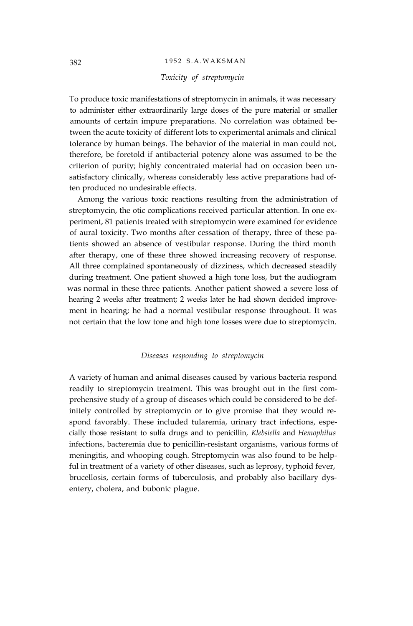# 382 1952 S.A.WAKSMAN

## *Toxicity of streptomycin*

To produce toxic manifestations of streptomycin in animals, it was necessary to administer either extraordinarily large doses of the pure material or smaller amounts of certain impure preparations. No correlation was obtained between the acute toxicity of different lots to experimental animals and clinical tolerance by human beings. The behavior of the material in man could not, therefore, be foretold if antibacterial potency alone was assumed to be the criterion of purity; highly concentrated material had on occasion been unsatisfactory clinically, whereas considerably less active preparations had often produced no undesirable effects.

Among the various toxic reactions resulting from the administration of streptomycin, the otic complications received particular attention. In one experiment, 81 patients treated with streptomycin were examined for evidence of aural toxicity. Two months after cessation of therapy, three of these patients showed an absence of vestibular response. During the third month after therapy, one of these three showed increasing recovery of response. All three complained spontaneously of dizziness, which decreased steadily during treatment. One patient showed a high tone loss, but the audiogram was normal in these three patients. Another patient showed a severe loss of hearing 2 weeks after treatment; 2 weeks later he had shown decided improvement in hearing; he had a normal vestibular response throughout. It was not certain that the low tone and high tone losses were due to streptomycin.

#### *Diseases responding to streptomycin*

A variety of human and animal diseases caused by various bacteria respond readily to streptomycin treatment. This was brought out in the first comprehensive study of a group of diseases which could be considered to be definitely controlled by streptomycin or to give promise that they would respond favorably. These included tularemia, urinary tract infections, especially those resistant to sulfa drugs and to penicillin, *Klebsiella* and *Hemophilus* infections, bacteremia due to penicillin-resistant organisms, various forms of meningitis, and whooping cough. Streptomycin was also found to be helpful in treatment of a variety of other diseases, such as leprosy, typhoid fever, brucellosis, certain forms of tuberculosis, and probably also bacillary dysentery, cholera, and bubonic plague.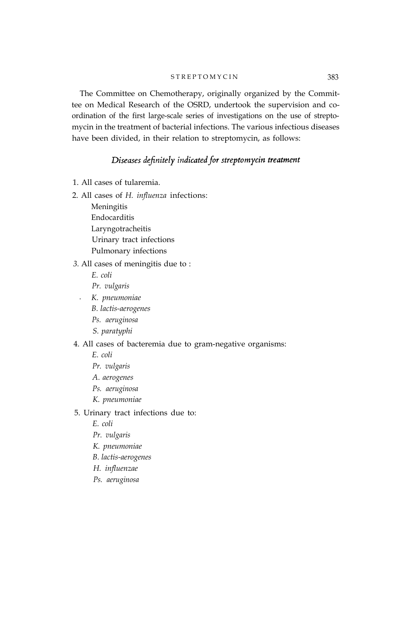#### S T R E P T O M Y C I N 383

The Committee on Chemotherapy, originally organized by the Committee on Medical Research of the OSRD, undertook the supervision and coordination of the first large-scale series of investigations on the use of streptomycin in the treatment of bacterial infections. The various infectious diseases have been divided, in their relation to streptomycin, as follows:

# Diseases definitely indicated for streptomycin treatment

- 1. All cases of tularemia.
- 2. All cases of *H. influenza* infections:

Meningitis Endocarditis Laryngotracheitis Urinary tract infections Pulmonary infections

#### *3.* All cases of meningitis due to :

*E. coli*

*Pr. vulgaris*

- *. K. pneumoniae*
	- *B. lactis-aerogenes*
	- *Ps. aeruginosa*
	- *S. paratyphi*

# 4. All cases of bacteremia due to gram-negative organisms:

*E. coli*

- *Pr. vulgaris*
- *A. aerogenes*
- *Ps. aeruginosa*
- *K. pneumoniae*

# 5. Urinary tract infections due to:

*E. coli*

- *Pr. vulgaris*
- *K. pneumoniae*
- *B. lactis-aerogenes*
- *H. influenzae*
- *Ps. aeruginosa*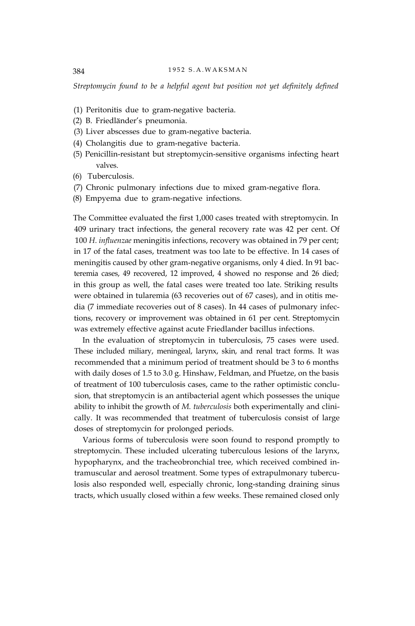*Streptomycin found to be a helpful agent but position not yet definitely defined*

- (1) Peritonitis due to gram-negative bacteria.
- (2) B. Friedländer's pneumonia.
- (3) Liver abscesses due to gram-negative bacteria.
- (4) Cholangitis due to gram-negative bacteria.
- (5) Penicillin-resistant but streptomycin-sensitive organisms infecting heart valves.
- (6) Tuberculosis.
- (7) Chronic pulmonary infections due to mixed gram-negative flora.
- (8) Empyema due to gram-negative infections.

The Committee evaluated the first 1,000 cases treated with streptomycin. In 409 urinary tract infections, the general recovery rate was 42 per cent. Of 100 *H. influenzae* meningitis infections, recovery was obtained in 79 per cent; in 17 of the fatal cases, treatment was too late to be effective. In 14 cases of meningitis caused by other gram-negative organisms, only 4 died. In 91 bacteremia cases, 49 recovered, 12 improved, 4 showed no response and 26 died; in this group as well, the fatal cases were treated too late. Striking results were obtained in tularemia (63 recoveries out of 67 cases), and in otitis media (7 immediate recoveries out of 8 cases). In 44 cases of pulmonary infections, recovery or improvement was obtained in 61 per cent. Streptomycin was extremely effective against acute Friedlander bacillus infections.

In the evaluation of streptomycin in tuberculosis, 75 cases were used. These included miliary, meningeal, larynx, skin, and renal tract forms. It was recommended that a minimum period of treatment should be 3 to 6 months with daily doses of 1.5 to 3.0 g. Hinshaw, Feldman, and Pfuetze, on the basis of treatment of 100 tuberculosis cases, came to the rather optimistic conclusion, that streptomycin is an antibacterial agent which possesses the unique ability to inhibit the growth of *M. tuberculosis* both experimentally and clinically. It was recommended that treatment of tuberculosis consist of large doses of streptomycin for prolonged periods.

Various forms of tuberculosis were soon found to respond promptly to streptomycin. These included ulcerating tuberculous lesions of the larynx, hypopharynx, and the tracheobronchial tree, which received combined intramuscular and aerosol treatment. Some types of extrapulmonary tuberculosis also responded well, especially chronic, long-standing draining sinus tracts, which usually closed within a few weeks. These remained closed only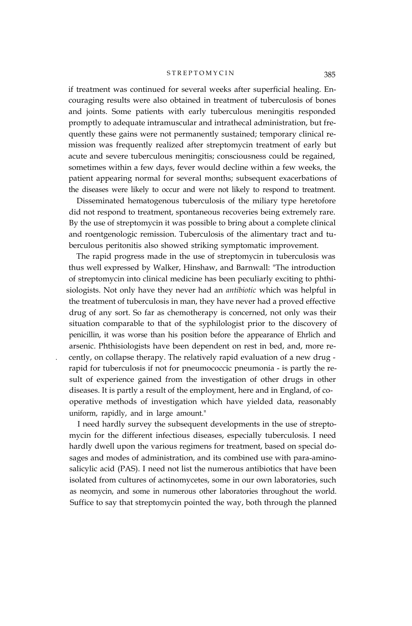#### STREPTOMYCIN<sup>385</sup>

if treatment was continued for several weeks after superficial healing. Encouraging results were also obtained in treatment of tuberculosis of bones and joints. Some patients with early tuberculous meningitis responded promptly to adequate intramuscular and intrathecal administration, but frequently these gains were not permanently sustained; temporary clinical remission was frequently realized after streptomycin treatment of early but acute and severe tuberculous meningitis; consciousness could be regained, sometimes within a few days, fever would decline within a few weeks, the patient appearing normal for several months; subsequent exacerbations of the diseases were likely to occur and were not likely to respond to treatment.

Disseminated hematogenous tuberculosis of the miliary type heretofore did not respond to treatment, spontaneous recoveries being extremely rare. By the use of streptomycin it was possible to bring about a complete clinical and roentgenologic remission. Tuberculosis of the alimentary tract and tuberculous peritonitis also showed striking symptomatic improvement.

The rapid progress made in the use of streptomycin in tuberculosis was thus well expressed by Walker, Hinshaw, and Barnwall: "The introduction of streptomycin into clinical medicine has been peculiarly exciting to phthisiologists. Not only have they never had an *antibiotic* which was helpful in the treatment of tuberculosis in man, they have never had a proved effective drug of any sort. So far as chemotherapy is concerned, not only was their situation comparable to that of the syphilologist prior to the discovery of penicillin, it was worse than his position before the appearance of Ehrlich and arsenic. Phthisiologists have been dependent on rest in bed, and, more re- . cently, on collapse therapy. The relatively rapid evaluation of a new drug rapid for tuberculosis if not for pneumococcic pneumonia - is partly the result of experience gained from the investigation of other drugs in other diseases. It is partly a result of the employment, here and in England, of cooperative methods of investigation which have yielded data, reasonably uniform, rapidly, and in large amount."

I need hardly survey the subsequent developments in the use of streptomycin for the different infectious diseases, especially tuberculosis. I need hardly dwell upon the various regimens for treatment, based on special dosages and modes of administration, and its combined use with para-aminosalicylic acid (PAS). I need not list the numerous antibiotics that have been isolated from cultures of actinomycetes, some in our own laboratories, such as neomycin, and some in numerous other laboratories throughout the world. Suffice to say that streptomycin pointed the way, both through the planned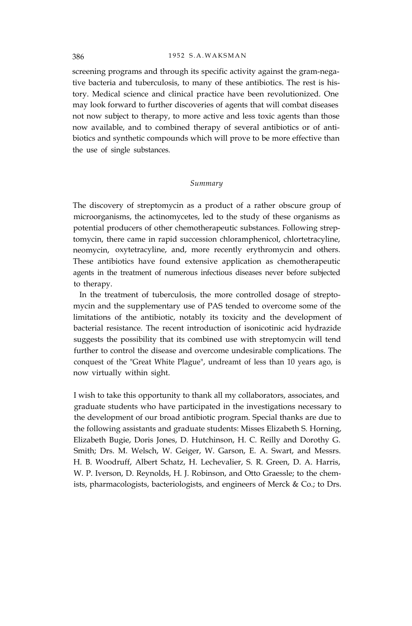screening programs and through its specific activity against the gram-negative bacteria and tuberculosis, to many of these antibiotics. The rest is history. Medical science and clinical practice have been revolutionized. One may look forward to further discoveries of agents that will combat diseases not now subject to therapy, to more active and less toxic agents than those now available, and to combined therapy of several antibiotics or of antibiotics and synthetic compounds which will prove to be more effective than the use of single substances.

# *Summary*

The discovery of streptomycin as a product of a rather obscure group of microorganisms, the actinomycetes, led to the study of these organisms as potential producers of other chemotherapeutic substances. Following streptomycin, there came in rapid succession chloramphenicol, chlortetracyline, neomycin, oxytetracyline, and, more recently erythromycin and others. These antibiotics have found extensive application as chemotherapeutic agents in the treatment of numerous infectious diseases never before subjected to therapy.

In the treatment of tuberculosis, the more controlled dosage of streptomycin and the supplementary use of PAS tended to overcome some of the limitations of the antibiotic, notably its toxicity and the development of bacterial resistance. The recent introduction of isonicotinic acid hydrazide suggests the possibility that its combined use with streptomycin will tend further to control the disease and overcome undesirable complications. The conquest of the "Great White Plague", undreamt of less than 10 years ago, is now virtually within sight.

I wish to take this opportunity to thank all my collaborators, associates, and graduate students who have participated in the investigations necessary to the development of our broad antibiotic program. Special thanks are due to the following assistants and graduate students: Misses Elizabeth S. Horning, Elizabeth Bugie, Doris Jones, D. Hutchinson, H. C. Reilly and Dorothy G. Smith; Drs. M. Welsch, W. Geiger, W. Garson, E. A. Swart, and Messrs. H. B. Woodruff, Albert Schatz, H. Lechevalier, S. R. Green, D. A. Harris, W. P. Iverson, D. Reynolds, H. J. Robinson, and Otto Graessle; to the chemists, pharmacologists, bacteriologists, and engineers of Merck & Co.; to Drs.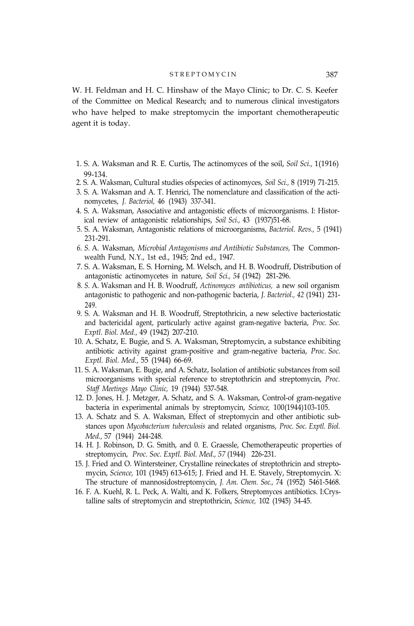#### STREPTOMYCIN<sup>387</sup>

W. H. Feldman and H. C. Hinshaw of the Mayo Clinic; to Dr. C. S. Keefer of the Committee on Medical Research; and to numerous clinical investigators who have helped to make streptomycin the important chemotherapeutic agent it is today.

- 1. S. A. Waksman and R. E. Curtis, The actinomyces of the soil, *Soil Sci.,* 1(1916) 99-134.
- 2. S. A. Waksman, Cultural studies ofspecies of actinomyces, *Soil Sci.,* 8 (1919) 71-215.
- 3. S. A. Waksman and A. T. Henrici, The nomenclature and classification of the actinomycetes, *J. Bacteriol,* 46 (1943) 337-341.
- 4. S. A. Waksman, Associative and antagonistic effects of microorganisms. I: Historical review of antagonistic relationships, *Soil Sci.,* 43 (1937)51-68.
- 5. S. A. Waksman, Antagonistic relations of microorganisms, *Bacteriol. Revs.,* 5 (1941) 231-291.
- *6. S.* A. Waksman, *Microbial Antagonisms and Antibiotic Substances,* The Commonwealth Fund, N.Y., 1st ed., 1945; 2nd ed., 1947.
- 7. S. A. Waksman, E. S. Horning, M. Welsch, and H. B. Woodruff, Distribution of antagonistic actinomycetes in nature, *Soil Sci., 54* (1942) 281-296.
- 8. *S.* A. Waksman and H. B. Woodruff, *Actinomyces antibioticus,* a new soil organism antagonistic to pathogenic and non-pathogenic bacteria, *J. Bacteriol., 42* (1941) 231- 249.
- 9. S. A. Waksman and H. B. Woodruff, Streptothricin, a new selective bacteriostatic and bactericidal agent, particularly active against gram-negative bacteria, *Proc. Soc. Exptl. Biol. Med.,* 49 (1942) 207-210.
- 10. A. Schatz, E. Bugie, and S. A. Waksman, Streptomycin, a substance exhibiting antibiotic activity against gram-positive and gram-negative bacteria, *Proc. Soc. Exptl. Biol. Med.,* 55 (1944) 66-69.
- 11. S. A. Waksman, E. Bugie, and A. Schatz, Isolation of antibiotic substances from soil microorganisms with special reference to streptothricin and streptomycin, *Proc. Staff Meetings Mayo Clinic,* 19 (1944) 537-548.
- 12. D. Jones, H. J. Metzger, A. Schatz, and S. A. Waksman, Control-of gram-negative bacteria in experimental animals by streptomycin, *Science,* 100(1944)103-105.
- 13. A. Schatz and S. A. Waksman, Effect of streptomycin and other antibiotic substances upon *Mycobacterium tuberculosis* and related organisms, *Proc. Soc. Exptl. Biol. Med.,* 57 (1944) 244-248.
- 14. H. J. Robinson, D. G. Smith, and 0. E. Graessle, Chemotherapeutic properties of streptomycin, *Proc. Soc. Exptl. Biol. Med., 57* (1944) 226-231.
- 15. J. Fried and O. Wintersteiner, Crystalline reineckates of streptothricin and streptomycin, *Science,* 101 (1945) 613-615; J. Fried and H. E. Stavely, Streptomycin. X: The structure of mannosidostreptomycin, *J. Am. Chem. Soc.,* 74 (1952) 5461-5468.
- 16. F. A. Kuehl, R. L. Peck, A. Walti, and K. Folkers, Streptomyces antibiotics. I:Crystalline salts of streptomycin and streptothricin, *Science,* 102 (1945) 34-45.